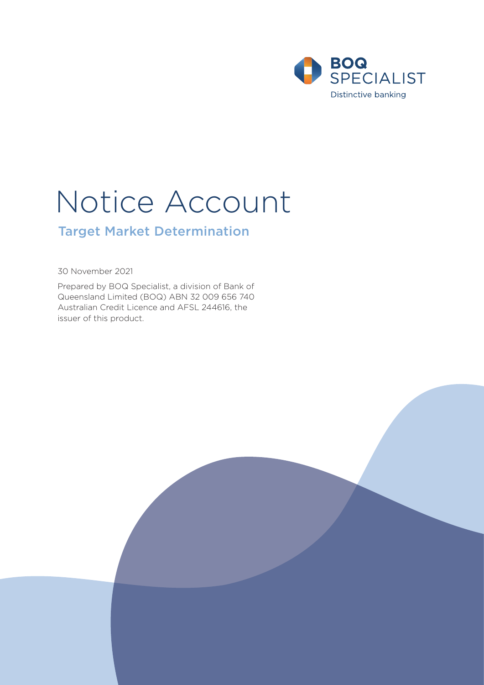

# Notice Account

# Target Market Determination

30 November 2021

Prepared by BOQ Specialist, a division of Bank of Queensland Limited (BOQ) ABN 32 009 656 740 Australian Credit Licence and AFSL 244616, the issuer of this product.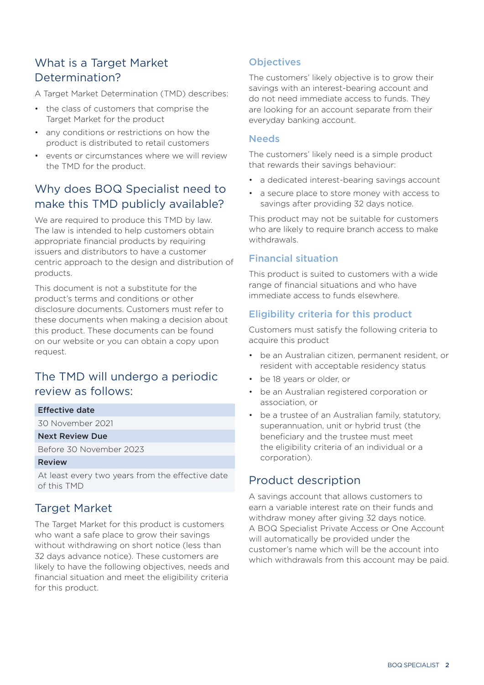# What is a Target Market Determination?

A Target Market Determination (TMD) describes:

- the class of customers that comprise the Target Market for the product
- any conditions or restrictions on how the product is distributed to retail customers
- events or circumstances where we will review the TMD for the product.

# Why does BOQ Specialist need to make this TMD publicly available?

We are required to produce this TMD by law. The law is intended to help customers obtain appropriate financial products by requiring issuers and distributors to have a customer centric approach to the design and distribution of products.

This document is not a substitute for the product's terms and conditions or other disclosure documents. Customers must refer to these documents when making a decision about this product. These documents can be found on our website or you can obtain a copy upon request.

# The TMD will undergo a periodic review as follows:

#### Effective date

30 November 2021

#### Next Review Due

Before 30 November 2023

#### Review

At least every two years from the effective date of this TMD

# Target Market

The Target Market for this product is customers who want a safe place to grow their savings without withdrawing on short notice (less than 32 days advance notice). These customers are likely to have the following objectives, needs and financial situation and meet the eligibility criteria for this product.

## **Objectives**

The customers' likely objective is to grow their savings with an interest-bearing account and do not need immediate access to funds. They are looking for an account separate from their everyday banking account.

#### **Needs**

The customers' likely need is a simple product that rewards their savings behaviour:

- a dedicated interest-bearing savings account
- a secure place to store money with access to savings after providing 32 days notice.

This product may not be suitable for customers who are likely to require branch access to make withdrawals.

#### Financial situation

This product is suited to customers with a wide range of financial situations and who have immediate access to funds elsewhere.

### Eligibility criteria for this product

Customers must satisfy the following criteria to acquire this product

- be an Australian citizen, permanent resident, or resident with acceptable residency status
- be 18 years or older, or
- be an Australian registered corporation or association, or
- be a trustee of an Australian family, statutory, superannuation, unit or hybrid trust (the beneficiary and the trustee must meet the eligibility criteria of an individual or a corporation).

# Product description

A savings account that allows customers to earn a variable interest rate on their funds and withdraw money after giving 32 days notice. A BOQ Specialist Private Access or One Account will automatically be provided under the customer's name which will be the account into which withdrawals from this account may be paid.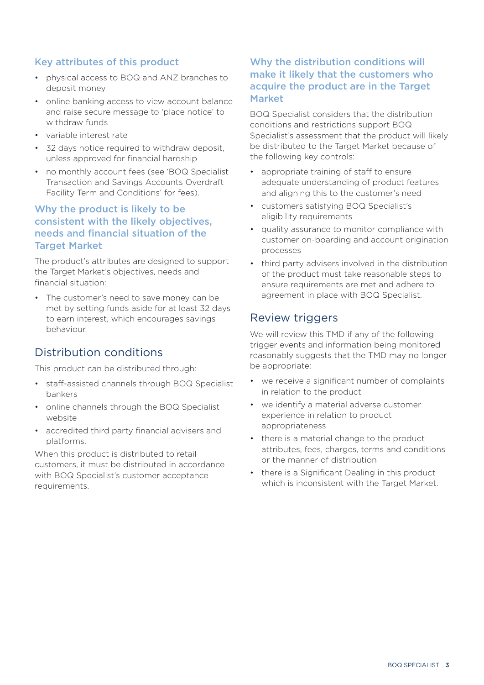## Key attributes of this product

- physical access to BOQ and ANZ branches to deposit money
- online banking access to view account balance and raise secure message to 'place notice' to withdraw funds
- variable interest rate
- 32 days notice required to withdraw deposit, unless approved for financial hardship
- no monthly account fees (see 'BOQ Specialist Transaction and Savings Accounts Overdraft Facility Term and Conditions' for fees).

## Why the product is likely to be consistent with the likely objectives, needs and financial situation of the **Target Market**

The product's attributes are designed to support the Target Market's objectives, needs and financial situation:

• The customer's need to save money can be met by setting funds aside for at least 32 days to earn interest, which encourages savings behaviour.

# Distribution conditions

This product can be distributed through:

- staff-assisted channels through BOQ Specialist bankers
- online channels through the BOQ Specialist website
- accredited third party financial advisers and platforms.

When this product is distributed to retail customers, it must be distributed in accordance with BOQ Specialist's customer acceptance requirements.

## Why the distribution conditions will make it likely that the customers who acquire the product are in the Target Market

BOQ Specialist considers that the distribution conditions and restrictions support BOQ Specialist's assessment that the product will likely be distributed to the Target Market because of the following key controls:

- appropriate training of staff to ensure adequate understanding of product features and aligning this to the customer's need
- customers satisfying BOQ Specialist's eligibility requirements
- quality assurance to monitor compliance with customer on-boarding and account origination processes
- third party advisers involved in the distribution of the product must take reasonable steps to ensure requirements are met and adhere to agreement in place with BOQ Specialist.

# Review triggers

We will review this TMD if any of the following trigger events and information being monitored reasonably suggests that the TMD may no longer be appropriate:

- we receive a significant number of complaints in relation to the product
- we identify a material adverse customer experience in relation to product appropriateness
- there is a material change to the product attributes, fees, charges, terms and conditions or the manner of distribution
- there is a Significant Dealing in this product which is inconsistent with the Target Market.